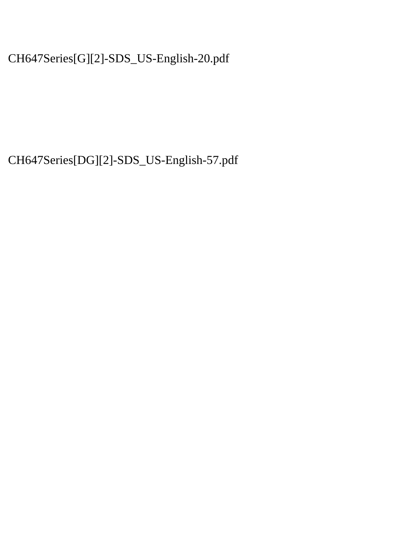CH647Series[G][2]-SDS\_US-English-20.pdf

CH647Series[DG][2]-SDS\_US-English-57.pdf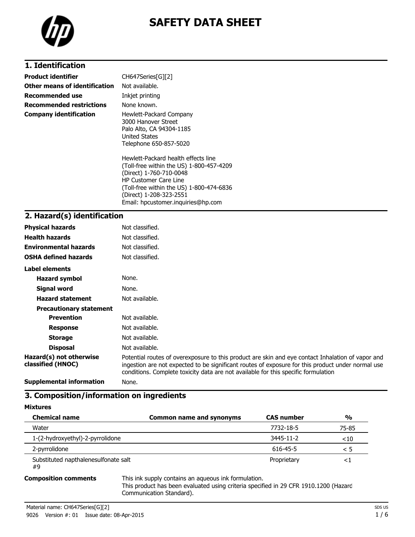

# **SAFETY DATA SHEET**

# **1. Identification**

| Product identifier            | CH647Series[G][2]                                                                                                                                                                                                                                       |
|-------------------------------|---------------------------------------------------------------------------------------------------------------------------------------------------------------------------------------------------------------------------------------------------------|
| Other means of identification | Not available.                                                                                                                                                                                                                                          |
| Recommended use               | Inkjet printing                                                                                                                                                                                                                                         |
| Recommended restrictions      | None known.                                                                                                                                                                                                                                             |
| Company identification        | Hewlett-Packard Company<br>3000 Hanover Street<br>Palo Alto, CA 94304-1185<br><b>United States</b><br>Telephone 650-857-5020                                                                                                                            |
|                               | Hewlett-Packard health effects line<br>(Toll-free within the US) 1-800-457-4209<br>(Direct) 1-760-710-0048<br><b>HP Customer Care Line</b><br>(Toll-free within the US) 1-800-474-6836<br>(Direct) 1-208-323-2551<br>Email: hpcustomer.inquiries@hp.com |
| 2. Hazard(s) identification   |                                                                                                                                                                                                                                                         |

### **2. Hazard(s) identification**

| <b>Physical hazards</b>                      | Not classified.                                                                                                                                                                                                                                                                              |
|----------------------------------------------|----------------------------------------------------------------------------------------------------------------------------------------------------------------------------------------------------------------------------------------------------------------------------------------------|
| <b>Health hazards</b>                        | Not classified.                                                                                                                                                                                                                                                                              |
| <b>Environmental hazards</b>                 | Not classified.                                                                                                                                                                                                                                                                              |
| <b>OSHA defined hazards</b>                  | Not classified.                                                                                                                                                                                                                                                                              |
| Label elements                               |                                                                                                                                                                                                                                                                                              |
| <b>Hazard symbol</b>                         | None.                                                                                                                                                                                                                                                                                        |
| Signal word                                  | None.                                                                                                                                                                                                                                                                                        |
| <b>Hazard statement</b>                      | Not available.                                                                                                                                                                                                                                                                               |
| <b>Precautionary statement</b>               |                                                                                                                                                                                                                                                                                              |
| <b>Prevention</b>                            | Not available.                                                                                                                                                                                                                                                                               |
| <b>Response</b>                              | Not available.                                                                                                                                                                                                                                                                               |
| <b>Storage</b>                               | Not available.                                                                                                                                                                                                                                                                               |
| <b>Disposal</b>                              | Not available.                                                                                                                                                                                                                                                                               |
| Hazard(s) not otherwise<br>classified (HNOC) | Potential routes of overexposure to this product are skin and eye contact Inhalation of vapor and<br>ingestion are not expected to be significant routes of exposure for this product under normal use<br>conditions. Complete toxicity data are not available for this specific formulation |
| Curadomental information                     | <b>Nicola</b>                                                                                                                                                                                                                                                                                |

**Supplemental information** None.

## **3. Composition/information on ingredients**

**Mixtures**

| <b>Chemical name</b>                       | <b>Common name and synonyms</b> | <b>CAS</b> number | $\frac{0}{0}$ |
|--------------------------------------------|---------------------------------|-------------------|---------------|
| Water                                      |                                 | 7732-18-5         | 75-85         |
| 1-(2-hydroxyethyl)-2-pyrrolidone           |                                 | 3445-11-2         | $<$ 10        |
| 2-pyrrolidone                              |                                 | 616-45-5          | < 5           |
| Substituted napthalenesulfonate salt<br>#9 |                                 | Proprietary       | $\leq$        |

**Composition comments** This ink supply contains an aqueous ink formulation.

This product has been evaluated using criteria specified in 29 CFR 1910.1200 (Hazard Communication Standard).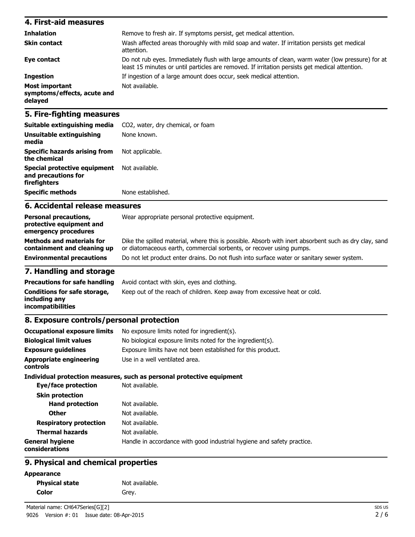#### **4. First-aid measures Inhalation** Remove to fresh air. If symptoms persist, get medical attention. **Skin contact** Wash affected areas thoroughly with mild soap and water. If irritation persists get medical attention. **Eye contact** Do not rub eyes. Immediately flush with large amounts of clean, warm water (low pressure) for at least 15 minutes or until particles are removed. If irritation persists get medical attention. **Ingestion** If ingestion of a large amount does occur, seek medical attention. **Most important symptoms/effects, acute and delayed** Not available.

### **5. Fire-fighting measures**

| Suitable extinguishing media                                        | CO <sub>2</sub> , water, dry chemical, or foam |
|---------------------------------------------------------------------|------------------------------------------------|
| Unsuitable extinguishing<br>media                                   | None known.                                    |
| <b>Specific hazards arising from</b><br>the chemical                | Not applicable.                                |
| Special protective equipment<br>and precautions for<br>firefighters | Not available.                                 |
| <b>Specific methods</b>                                             | None established.                              |

### **6. Accidental release measures**

| <b>Personal precautions,</b><br>protective equipment and<br>emergency procedures | Wear appropriate personal protective equipment.                                                                                                                              |
|----------------------------------------------------------------------------------|------------------------------------------------------------------------------------------------------------------------------------------------------------------------------|
| <b>Methods and materials for</b><br>containment and cleaning up                  | Dike the spilled material, where this is possible. Absorb with inert absorbent such as dry clay, sand<br>or diatomaceous earth, commercial sorbents, or recover using pumps. |
| <b>Environmental precautions</b>                                                 | Do not let product enter drains. Do not flush into surface water or sanitary sewer system.                                                                                   |

### **7. Handling and storage**

|                                                                    | <b>Precautions for safe handling</b> Avoid contact with skin, eyes and clothing. |
|--------------------------------------------------------------------|----------------------------------------------------------------------------------|
| Conditions for safe storage,<br>including anv<br>incompatibilities | Keep out of the reach of children. Keep away from excessive heat or cold.        |

#### **8. Exposure controls/personal protection**

| <b>Occupational exposure limits</b>      | No exposure limits noted for ingredient(s).                            |
|------------------------------------------|------------------------------------------------------------------------|
| <b>Biological limit values</b>           | No biological exposure limits noted for the ingredient(s).             |
| <b>Exposure guidelines</b>               | Exposure limits have not been established for this product.            |
| Appropriate engineering<br>controls      | Use in a well ventilated area.                                         |
|                                          | Individual protection measures, such as personal protective equipment  |
| Eye/face protection                      | Not available.                                                         |
| <b>Skin protection</b>                   |                                                                        |
| <b>Hand protection</b>                   | Not available.                                                         |
| <b>Other</b>                             | Not available.                                                         |
| <b>Respiratory protection</b>            | Not available.                                                         |
| <b>Thermal hazards</b>                   | Not available.                                                         |
| <b>General hygiene</b><br>considerations | Handle in accordance with good industrial hygiene and safety practice. |

## **9. Physical and chemical properties**

| <b>Appearance</b> |  |  |
|-------------------|--|--|
|-------------------|--|--|

| <b>Physical state</b> | Not available. |
|-----------------------|----------------|
| <b>Color</b>          | Grey.          |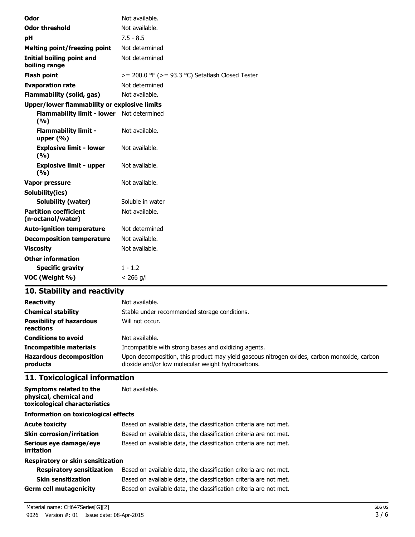| Odor                                                | Not available.                                        |
|-----------------------------------------------------|-------------------------------------------------------|
| <b>Odor threshold</b>                               | Not available.                                        |
| рH                                                  | $7.5 - 8.5$                                           |
| <b>Melting point/freezing point</b>                 | Not determined                                        |
| <b>Initial boiling point and</b><br>boiling range   | Not determined                                        |
| <b>Flash point</b>                                  | $>= 200.0$ °F ( $>= 93.3$ °C) Setaflash Closed Tester |
| <b>Evaporation rate</b>                             | Not determined                                        |
| <b>Flammability (solid, gas)</b>                    | Not available.                                        |
| <b>Upper/lower flammability or explosive limits</b> |                                                       |
| Flammability limit - lower Not determined<br>(9/6)  |                                                       |
| <b>Flammability limit -</b><br>upper $(\% )$        | Not available.                                        |
| <b>Explosive limit - lower</b><br>(9/6)             | Not available.                                        |
| <b>Explosive limit - upper</b><br>(9/6)             | Not available.                                        |
| Vapor pressure                                      | Not available.                                        |
| Solubility(ies)                                     |                                                       |
| <b>Solubility (water)</b>                           | Soluble in water                                      |
| <b>Partition coefficient</b><br>(n-octanol/water)   | Not available.                                        |
| <b>Auto-ignition temperature</b>                    | Not determined                                        |
| <b>Decomposition temperature</b>                    | Not available.                                        |
| <b>Viscosity</b>                                    | Not available.                                        |
| <b>Other information</b>                            |                                                       |
| <b>Specific gravity</b>                             | $1 - 1.2$                                             |
| VOC (Weight %)                                      | $< 266$ g/l                                           |

# **10. Stability and reactivity**

| <b>Reactivity</b><br><b>Chemical stability</b><br><b>Possibility of hazardous</b><br>reactions | Not available.<br>Stable under recommended storage conditions.<br>Will not occur.                                                                |
|------------------------------------------------------------------------------------------------|--------------------------------------------------------------------------------------------------------------------------------------------------|
| <b>Conditions to avoid</b>                                                                     | Not available.                                                                                                                                   |
| <b>Incompatible materials</b>                                                                  | Incompatible with strong bases and oxidizing agents.                                                                                             |
| <b>Hazardous decomposition</b><br>products                                                     | Upon decomposition, this product may yield gaseous nitrogen oxides, carbon monoxide, carbon<br>dioxide and/or low molecular weight hydrocarbons. |

# **11. Toxicological information**

| <b>Symptoms related to the</b><br>physical, chemical and<br>toxicological characteristics | Not available.                                                    |
|-------------------------------------------------------------------------------------------|-------------------------------------------------------------------|
| <b>Information on toxicological effects</b>                                               |                                                                   |
| <b>Acute toxicity</b>                                                                     | Based on available data, the classification criteria are not met. |
| <b>Skin corrosion/irritation</b>                                                          | Based on available data, the classification criteria are not met. |
| Serious eye damage/eye<br>irritation                                                      | Based on available data, the classification criteria are not met. |
| Respiratory or skin sensitization                                                         |                                                                   |
| <b>Respiratory sensitization</b>                                                          | Based on available data, the classification criteria are not met. |
| <b>Skin sensitization</b>                                                                 | Based on available data, the classification criteria are not met. |
| <b>Germ cell mutagenicity</b>                                                             | Based on available data, the classification criteria are not met. |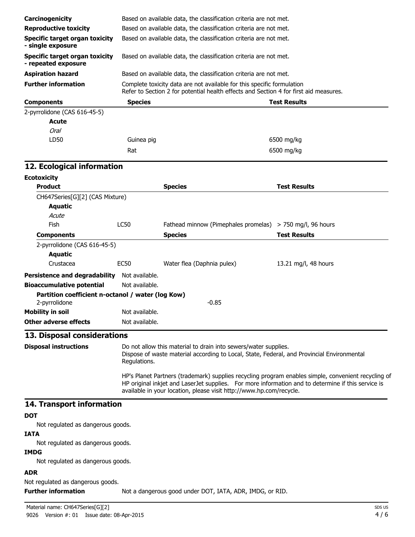| Carcinogenicity                                                                                                                                                                                                                                                                  |                | Based on available data, the classification criteria are not met.                                                                                               |                      |
|----------------------------------------------------------------------------------------------------------------------------------------------------------------------------------------------------------------------------------------------------------------------------------|----------------|-----------------------------------------------------------------------------------------------------------------------------------------------------------------|----------------------|
| <b>Reproductive toxicity</b>                                                                                                                                                                                                                                                     |                | Based on available data, the classification criteria are not met.                                                                                               |                      |
| <b>Specific target organ toxicity</b><br>- single exposure                                                                                                                                                                                                                       |                | Based on available data, the classification criteria are not met.                                                                                               |                      |
| <b>Specific target organ toxicity</b><br>- repeated exposure                                                                                                                                                                                                                     |                | Based on available data, the classification criteria are not met.                                                                                               |                      |
| <b>Aspiration hazard</b>                                                                                                                                                                                                                                                         |                | Based on available data, the classification criteria are not met.                                                                                               |                      |
| <b>Further information</b>                                                                                                                                                                                                                                                       |                | Complete toxicity data are not available for this specific formulation<br>Refer to Section 2 for potential health effects and Section 4 for first aid measures. |                      |
| <b>Components</b>                                                                                                                                                                                                                                                                | <b>Species</b> |                                                                                                                                                                 | <b>Test Results</b>  |
| 2-pyrrolidone (CAS 616-45-5)                                                                                                                                                                                                                                                     |                |                                                                                                                                                                 |                      |
| Acute                                                                                                                                                                                                                                                                            |                |                                                                                                                                                                 |                      |
| <b>Oral</b>                                                                                                                                                                                                                                                                      |                |                                                                                                                                                                 |                      |
| LD50                                                                                                                                                                                                                                                                             | Guinea pig     |                                                                                                                                                                 | 6500 mg/kg           |
|                                                                                                                                                                                                                                                                                  | Rat            |                                                                                                                                                                 | 6500 mg/kg           |
| 12. Ecological information                                                                                                                                                                                                                                                       |                |                                                                                                                                                                 |                      |
| <b>Ecotoxicity</b>                                                                                                                                                                                                                                                               |                |                                                                                                                                                                 |                      |
| <b>Product</b>                                                                                                                                                                                                                                                                   |                | <b>Species</b>                                                                                                                                                  | <b>Test Results</b>  |
| CH647Series[G][2] (CAS Mixture)                                                                                                                                                                                                                                                  |                |                                                                                                                                                                 |                      |
| Aquatic                                                                                                                                                                                                                                                                          |                |                                                                                                                                                                 |                      |
| Acute                                                                                                                                                                                                                                                                            |                |                                                                                                                                                                 |                      |
| Fish                                                                                                                                                                                                                                                                             | <b>LC50</b>    | Fathead minnow (Pimephales promelas) > 750 mg/l, 96 hours                                                                                                       |                      |
| <b>Components</b>                                                                                                                                                                                                                                                                |                | <b>Species</b>                                                                                                                                                  | <b>Test Results</b>  |
| 2-pyrrolidone (CAS 616-45-5)                                                                                                                                                                                                                                                     |                |                                                                                                                                                                 |                      |
| Aquatic                                                                                                                                                                                                                                                                          |                |                                                                                                                                                                 |                      |
| Crustacea                                                                                                                                                                                                                                                                        | <b>EC50</b>    | Water flea (Daphnia pulex)                                                                                                                                      | 13.21 mg/l, 48 hours |
| <b>Persistence and degradability</b>                                                                                                                                                                                                                                             | Not available. |                                                                                                                                                                 |                      |
| <b>Bioaccumulative potential</b>                                                                                                                                                                                                                                                 | Not available. |                                                                                                                                                                 |                      |
| Partition coefficient n-octanol / water (log Kow)<br>2-pyrrolidone                                                                                                                                                                                                               |                | $-0.85$                                                                                                                                                         |                      |
| <b>Mobility in soil</b>                                                                                                                                                                                                                                                          | Not available. |                                                                                                                                                                 |                      |
| <b>Other adverse effects</b>                                                                                                                                                                                                                                                     | Not available. |                                                                                                                                                                 |                      |
| 13. Disposal considerations                                                                                                                                                                                                                                                      |                |                                                                                                                                                                 |                      |
| <b>Disposal instructions</b>                                                                                                                                                                                                                                                     | Regulations.   | Do not allow this material to drain into sewers/water supplies.<br>Dispose of waste material according to Local, State, Federal, and Provincial Environmental   |                      |
| HP's Planet Partners (trademark) supplies recycling program enables simple, convenient recycling of<br>HP original inkjet and LaserJet supplies. For more information and to determine if this service is<br>available in your location, please visit http://www.hp.com/recycle. |                |                                                                                                                                                                 |                      |
| 14. Transport information                                                                                                                                                                                                                                                        |                |                                                                                                                                                                 |                      |
| <b>DOT</b>                                                                                                                                                                                                                                                                       |                |                                                                                                                                                                 |                      |
| Not regulated as dangerous goods.                                                                                                                                                                                                                                                |                |                                                                                                                                                                 |                      |
| <b>IATA</b>                                                                                                                                                                                                                                                                      |                |                                                                                                                                                                 |                      |
| Not regulated as dangerous goods.                                                                                                                                                                                                                                                |                |                                                                                                                                                                 |                      |
| <b>IMDG</b>                                                                                                                                                                                                                                                                      |                |                                                                                                                                                                 |                      |
| Not regulated as dangerous goods.                                                                                                                                                                                                                                                |                |                                                                                                                                                                 |                      |
| <b>ADR</b>                                                                                                                                                                                                                                                                       |                |                                                                                                                                                                 |                      |
| Not requisited as dangerous goods                                                                                                                                                                                                                                                |                |                                                                                                                                                                 |                      |

Not regulated as dangerous goods.

**Further information** Not a dangerous good under DOT, IATA, ADR, IMDG, or RID.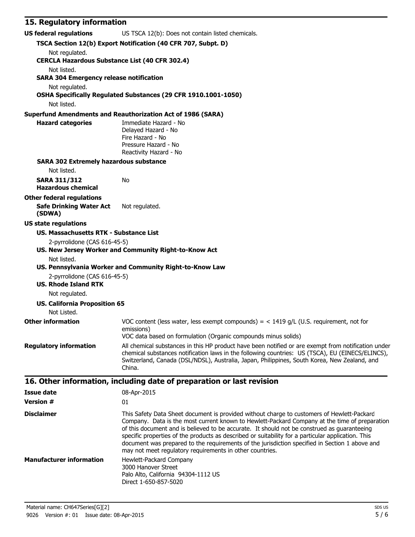## **15. Regulatory information**

| <b>US federal regulations</b><br>US TSCA 12(b): Does not contain listed chemicals. |                                                                                                                                                                                                                                                                                                                                                                                                                                                                                                                                                                |  |  |
|------------------------------------------------------------------------------------|----------------------------------------------------------------------------------------------------------------------------------------------------------------------------------------------------------------------------------------------------------------------------------------------------------------------------------------------------------------------------------------------------------------------------------------------------------------------------------------------------------------------------------------------------------------|--|--|
| TSCA Section 12(b) Export Notification (40 CFR 707, Subpt. D)                      |                                                                                                                                                                                                                                                                                                                                                                                                                                                                                                                                                                |  |  |
| Not regulated.<br><b>CERCLA Hazardous Substance List (40 CFR 302.4)</b>            |                                                                                                                                                                                                                                                                                                                                                                                                                                                                                                                                                                |  |  |
| Not listed.                                                                        |                                                                                                                                                                                                                                                                                                                                                                                                                                                                                                                                                                |  |  |
| <b>SARA 304 Emergency release notification</b>                                     |                                                                                                                                                                                                                                                                                                                                                                                                                                                                                                                                                                |  |  |
| Not regulated.                                                                     |                                                                                                                                                                                                                                                                                                                                                                                                                                                                                                                                                                |  |  |
|                                                                                    | OSHA Specifically Regulated Substances (29 CFR 1910.1001-1050)                                                                                                                                                                                                                                                                                                                                                                                                                                                                                                 |  |  |
| Not listed.                                                                        |                                                                                                                                                                                                                                                                                                                                                                                                                                                                                                                                                                |  |  |
|                                                                                    | <b>Superfund Amendments and Reauthorization Act of 1986 (SARA)</b>                                                                                                                                                                                                                                                                                                                                                                                                                                                                                             |  |  |
| <b>Hazard categories</b>                                                           | Immediate Hazard - No                                                                                                                                                                                                                                                                                                                                                                                                                                                                                                                                          |  |  |
|                                                                                    | Delayed Hazard - No<br>Fire Hazard - No                                                                                                                                                                                                                                                                                                                                                                                                                                                                                                                        |  |  |
|                                                                                    | Pressure Hazard - No                                                                                                                                                                                                                                                                                                                                                                                                                                                                                                                                           |  |  |
|                                                                                    | Reactivity Hazard - No                                                                                                                                                                                                                                                                                                                                                                                                                                                                                                                                         |  |  |
| <b>SARA 302 Extremely hazardous substance</b>                                      |                                                                                                                                                                                                                                                                                                                                                                                                                                                                                                                                                                |  |  |
| Not listed.                                                                        |                                                                                                                                                                                                                                                                                                                                                                                                                                                                                                                                                                |  |  |
| <b>SARA 311/312</b>                                                                | No                                                                                                                                                                                                                                                                                                                                                                                                                                                                                                                                                             |  |  |
| <b>Hazardous chemical</b>                                                          |                                                                                                                                                                                                                                                                                                                                                                                                                                                                                                                                                                |  |  |
| <b>Other federal regulations</b>                                                   |                                                                                                                                                                                                                                                                                                                                                                                                                                                                                                                                                                |  |  |
| <b>Safe Drinking Water Act</b><br>(SDWA)                                           | Not regulated.                                                                                                                                                                                                                                                                                                                                                                                                                                                                                                                                                 |  |  |
| <b>US state regulations</b>                                                        |                                                                                                                                                                                                                                                                                                                                                                                                                                                                                                                                                                |  |  |
| <b>US. Massachusetts RTK - Substance List</b>                                      |                                                                                                                                                                                                                                                                                                                                                                                                                                                                                                                                                                |  |  |
| 2-pyrrolidone (CAS 616-45-5)                                                       | US. New Jersey Worker and Community Right-to-Know Act                                                                                                                                                                                                                                                                                                                                                                                                                                                                                                          |  |  |
| Not listed.                                                                        |                                                                                                                                                                                                                                                                                                                                                                                                                                                                                                                                                                |  |  |
|                                                                                    | US. Pennsylvania Worker and Community Right-to-Know Law                                                                                                                                                                                                                                                                                                                                                                                                                                                                                                        |  |  |
| 2-pyrrolidone (CAS 616-45-5)                                                       |                                                                                                                                                                                                                                                                                                                                                                                                                                                                                                                                                                |  |  |
| <b>US. Rhode Island RTK</b>                                                        |                                                                                                                                                                                                                                                                                                                                                                                                                                                                                                                                                                |  |  |
| Not regulated.                                                                     |                                                                                                                                                                                                                                                                                                                                                                                                                                                                                                                                                                |  |  |
| <b>US. California Proposition 65</b><br>Not Listed.                                |                                                                                                                                                                                                                                                                                                                                                                                                                                                                                                                                                                |  |  |
| <b>Other information</b>                                                           | VOC content (less water, less exempt compounds) = $<$ 1419 g/L (U.S. requirement, not for<br>emissions)                                                                                                                                                                                                                                                                                                                                                                                                                                                        |  |  |
|                                                                                    | VOC data based on formulation (Organic compounds minus solids)                                                                                                                                                                                                                                                                                                                                                                                                                                                                                                 |  |  |
| <b>Regulatory information</b>                                                      | All chemical substances in this HP product have been notified or are exempt from notification under<br>chemical substances notification laws in the following countries: US (TSCA), EU (EINECS/ELINCS),<br>Switzerland, Canada (DSL/NDSL), Australia, Japan, Philippines, South Korea, New Zealand, and<br>China.                                                                                                                                                                                                                                              |  |  |
|                                                                                    | 16. Other information, including date of preparation or last revision                                                                                                                                                                                                                                                                                                                                                                                                                                                                                          |  |  |
| <b>Issue date</b>                                                                  | 08-Apr-2015                                                                                                                                                                                                                                                                                                                                                                                                                                                                                                                                                    |  |  |
| <b>Version #</b>                                                                   | 01                                                                                                                                                                                                                                                                                                                                                                                                                                                                                                                                                             |  |  |
|                                                                                    |                                                                                                                                                                                                                                                                                                                                                                                                                                                                                                                                                                |  |  |
| <b>Disclaimer</b>                                                                  | This Safety Data Sheet document is provided without charge to customers of Hewlett-Packard<br>Company. Data is the most current known to Hewlett-Packard Company at the time of preparation<br>of this document and is believed to be accurate. It should not be construed as guaranteeing<br>specific properties of the products as described or suitability for a particular application. This<br>document was prepared to the requirements of the jurisdiction specified in Section 1 above and<br>may not meet regulatory requirements in other countries. |  |  |
| <b>Manufacturer information</b>                                                    | Hewlett-Packard Company                                                                                                                                                                                                                                                                                                                                                                                                                                                                                                                                        |  |  |
|                                                                                    | 3000 Hanover Street                                                                                                                                                                                                                                                                                                                                                                                                                                                                                                                                            |  |  |
|                                                                                    | Palo Alto, California 94304-1112 US<br>Direct 1-650-857-5020                                                                                                                                                                                                                                                                                                                                                                                                                                                                                                   |  |  |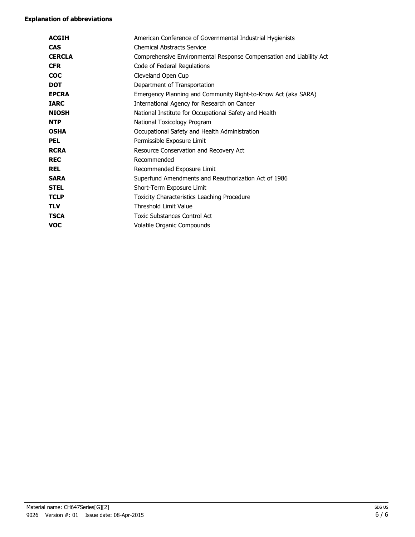#### **Explanation of abbreviations**

| <b>ACGIH</b>  | American Conference of Governmental Industrial Hygienists           |
|---------------|---------------------------------------------------------------------|
| <b>CAS</b>    | <b>Chemical Abstracts Service</b>                                   |
| <b>CERCLA</b> | Comprehensive Environmental Response Compensation and Liability Act |
| <b>CFR</b>    | Code of Federal Regulations                                         |
| <b>COC</b>    | Cleveland Open Cup                                                  |
| <b>DOT</b>    | Department of Transportation                                        |
| <b>EPCRA</b>  | Emergency Planning and Community Right-to-Know Act (aka SARA)       |
| <b>IARC</b>   | International Agency for Research on Cancer                         |
| <b>NIOSH</b>  | National Institute for Occupational Safety and Health               |
| <b>NTP</b>    | National Toxicology Program                                         |
| <b>OSHA</b>   | Occupational Safety and Health Administration                       |
| <b>PEL</b>    | Permissible Exposure Limit                                          |
| <b>RCRA</b>   | Resource Conservation and Recovery Act                              |
| <b>REC</b>    | Recommended                                                         |
| <b>REL</b>    | Recommended Exposure Limit                                          |
| <b>SARA</b>   | Superfund Amendments and Reauthorization Act of 1986                |
| <b>STEL</b>   | Short-Term Exposure Limit                                           |
| <b>TCLP</b>   | Toxicity Characteristics Leaching Procedure                         |
| <b>TLV</b>    | Threshold Limit Value                                               |
| <b>TSCA</b>   | <b>Toxic Substances Control Act</b>                                 |
| <b>VOC</b>    | Volatile Organic Compounds                                          |
|               |                                                                     |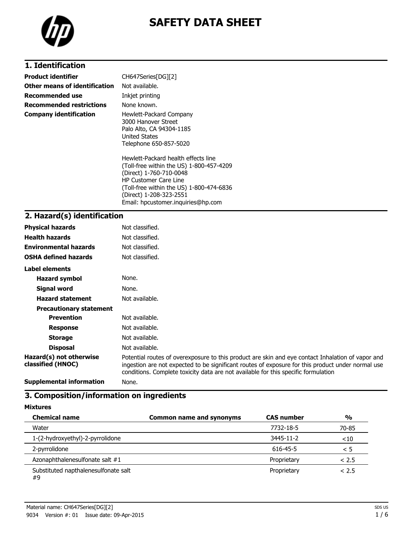

# **SAFETY DATA SHEET**

# **1. Identification**

| Product identifier              | CH647Series[DG][2]                                                                                                                                                                                                                                      |
|---------------------------------|---------------------------------------------------------------------------------------------------------------------------------------------------------------------------------------------------------------------------------------------------------|
| Other means of identification   | Not available.                                                                                                                                                                                                                                          |
| Recommended use                 | Inkjet printing                                                                                                                                                                                                                                         |
| <b>Recommended restrictions</b> | None known.                                                                                                                                                                                                                                             |
| <b>Company identification</b>   | Hewlett-Packard Company<br>3000 Hanover Street<br>Palo Alto, CA 94304-1185<br><b>United States</b><br>Telephone 650-857-5020                                                                                                                            |
|                                 | Hewlett-Packard health effects line<br>(Toll-free within the US) 1-800-457-4209<br>(Direct) 1-760-710-0048<br><b>HP Customer Care Line</b><br>(Toll-free within the US) 1-800-474-6836<br>(Direct) 1-208-323-2551<br>Email: hpcustomer.inguiries@hp.com |

# **2. Hazard(s) identification**

| <b>Physical hazards</b>                      | Not classified.                                                                                                                                                                                                                                                                              |
|----------------------------------------------|----------------------------------------------------------------------------------------------------------------------------------------------------------------------------------------------------------------------------------------------------------------------------------------------|
| <b>Health hazards</b>                        | Not classified.                                                                                                                                                                                                                                                                              |
| <b>Environmental hazards</b>                 | Not classified.                                                                                                                                                                                                                                                                              |
| <b>OSHA defined hazards</b>                  | Not classified.                                                                                                                                                                                                                                                                              |
| Label elements                               |                                                                                                                                                                                                                                                                                              |
| <b>Hazard symbol</b>                         | None.                                                                                                                                                                                                                                                                                        |
| Signal word                                  | None.                                                                                                                                                                                                                                                                                        |
| <b>Hazard statement</b>                      | Not available.                                                                                                                                                                                                                                                                               |
| <b>Precautionary statement</b>               |                                                                                                                                                                                                                                                                                              |
| <b>Prevention</b>                            | Not available.                                                                                                                                                                                                                                                                               |
| <b>Response</b>                              | Not available.                                                                                                                                                                                                                                                                               |
| <b>Storage</b>                               | Not available.                                                                                                                                                                                                                                                                               |
| <b>Disposal</b>                              | Not available.                                                                                                                                                                                                                                                                               |
| Hazard(s) not otherwise<br>classified (HNOC) | Potential routes of overexposure to this product are skin and eye contact Inhalation of vapor and<br>ingestion are not expected to be significant routes of exposure for this product under normal use<br>conditions. Complete toxicity data are not available for this specific formulation |
| $\sim$ $\sim$ $\sim$ $\sim$ $\sim$ $\sim$    |                                                                                                                                                                                                                                                                                              |

**Supplemental information** None.

# **3. Composition/information on ingredients**

**Mixtures**

| <b>Chemical name</b>                       | <b>Common name and synonyms</b> | <b>CAS number</b> | $\frac{0}{0}$ |
|--------------------------------------------|---------------------------------|-------------------|---------------|
| Water                                      |                                 | 7732-18-5         | 70-85         |
| 1-(2-hydroxyethyl)-2-pyrrolidone           |                                 | 3445-11-2         | $<$ 10        |
| 2-pyrrolidone                              |                                 | 616-45-5          | < 5           |
| Azonaphthalenesulfonate salt #1            |                                 | Proprietary       | < 2.5         |
| Substituted napthalenesulfonate salt<br>#9 |                                 | Proprietary       | < 2.5         |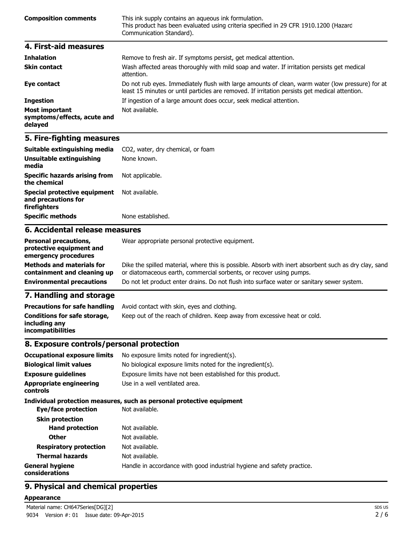| <b>Composition comments</b> | This ink supply contains an agueous ink formulation.<br>This product has been evaluated using criteria specified in 29 CFR 1910.1200 (Hazard<br>Communication Standard). |  |
|-----------------------------|--------------------------------------------------------------------------------------------------------------------------------------------------------------------------|--|
| 4. First-aid measures       |                                                                                                                                                                          |  |

| <b>Inhalation</b>                                               | Remove to fresh air. If symptoms persist, get medical attention.                                                                                                                                   |
|-----------------------------------------------------------------|----------------------------------------------------------------------------------------------------------------------------------------------------------------------------------------------------|
| <b>Skin contact</b>                                             | Wash affected areas thoroughly with mild soap and water. If irritation persists get medical<br>attention.                                                                                          |
| Eye contact                                                     | Do not rub eyes. Immediately flush with large amounts of clean, warm water (low pressure) for at<br>least 15 minutes or until particles are removed. If irritation persists get medical attention. |
| <b>Ingestion</b>                                                | If ingestion of a large amount does occur, seek medical attention.                                                                                                                                 |
| <b>Most important</b><br>symptoms/effects, acute and<br>delayed | Not available.                                                                                                                                                                                     |

#### **5. Fire-fighting measures**

**emergency procedures**

**Methods and materials for containment and cleaning up**

**7. Handling and storage**

**Conditions for safe storage,**

**including any incompatibilities**

| Suitable extinguishing media                                        | CO <sub>2</sub> , water, dry chemical, or foam  |
|---------------------------------------------------------------------|-------------------------------------------------|
| Unsuitable extinguishing<br>media                                   | None known.                                     |
| Specific hazards arising from<br>the chemical                       | Not applicable.                                 |
| Special protective equipment<br>and precautions for<br>firefighters | Not available.                                  |
| <b>Specific methods</b>                                             | None established.                               |
| 6. Accidental release measures                                      |                                                 |
| <b>Personal precautions,</b><br>protective equipment and            | Wear appropriate personal protective equipment. |

or diatomaceous earth, commercial sorbents, or recover using pumps.

Keep out of the reach of children. Keep away from excessive heat or cold.

**Environmental precautions** Do not let product enter drains. Do not flush into surface water or sanitary sewer system.

Dike the spilled material, where this is possible. Absorb with inert absorbent such as dry clay, sand

# **8. Exposure controls/personal protection**

**Precautions for safe handling** Avoid contact with skin, eyes and clothing.

| <b>Occupational exposure limits</b>        | No exposure limits noted for ingredient(s).                            |  |
|--------------------------------------------|------------------------------------------------------------------------|--|
| <b>Biological limit values</b>             | No biological exposure limits noted for the ingredient(s).             |  |
| <b>Exposure quidelines</b>                 | Exposure limits have not been established for this product.            |  |
| <b>Appropriate engineering</b><br>controls | Use in a well ventilated area.                                         |  |
|                                            | Individual protection measures, such as personal protective equipment  |  |
| Eye/face protection                        | Not available.                                                         |  |
| <b>Skin protection</b>                     |                                                                        |  |
| <b>Hand protection</b>                     | Not available.                                                         |  |
| <b>Other</b>                               | Not available.                                                         |  |
| <b>Respiratory protection</b>              | Not available.                                                         |  |
| <b>Thermal hazards</b>                     | Not available.                                                         |  |
| <b>General hygiene</b><br>considerations   | Handle in accordance with good industrial hygiene and safety practice. |  |

### **9. Physical and chemical properties**

#### **Appearance**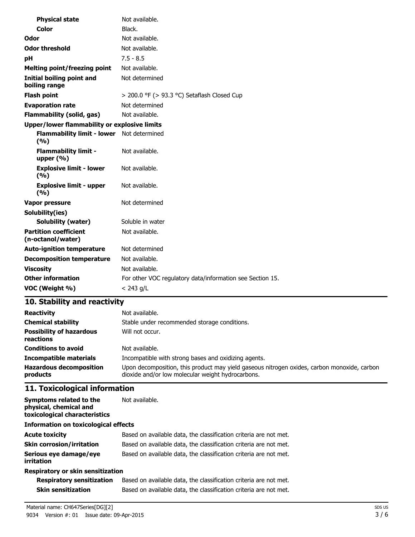| <b>Physical state</b>                               | Not available.                                            |
|-----------------------------------------------------|-----------------------------------------------------------|
| Color                                               | Black.                                                    |
| Odor                                                | Not available.                                            |
| <b>Odor threshold</b>                               | Not available.                                            |
| рH                                                  | $7.5 - 8.5$                                               |
| <b>Melting point/freezing point</b>                 | Not available.                                            |
| <b>Initial boiling point and</b><br>boiling range   | Not determined                                            |
| <b>Flash point</b>                                  | > 200.0 °F (> 93.3 °C) Setaflash Closed Cup               |
| <b>Evaporation rate</b>                             | Not determined                                            |
| <b>Flammability (solid, gas)</b>                    | Not available.                                            |
| <b>Upper/lower flammability or explosive limits</b> |                                                           |
| Flammability limit - lower Not determined<br>(%)    |                                                           |
| <b>Flammability limit -</b><br>upper $(% )$         | Not available.                                            |
| <b>Explosive limit - lower</b><br>(%)               | Not available.                                            |
| <b>Explosive limit - upper</b><br>(%)               | Not available.                                            |
| Vapor pressure                                      | Not determined                                            |
| Solubility(ies)                                     |                                                           |
| <b>Solubility (water)</b>                           | Soluble in water                                          |
| <b>Partition coefficient</b><br>(n-octanol/water)   | Not available.                                            |
| <b>Auto-ignition temperature</b>                    | Not determined                                            |
| <b>Decomposition temperature</b>                    | Not available.                                            |
| <b>Viscosity</b>                                    | Not available.                                            |
| <b>Other information</b>                            | For other VOC regulatory data/information see Section 15. |
| VOC (Weight %)                                      | $< 243$ g/L                                               |

# **10. Stability and reactivity**

| <b>Reactivity</b>                            | Not available.                                                                                                                                   |
|----------------------------------------------|--------------------------------------------------------------------------------------------------------------------------------------------------|
| <b>Chemical stability</b>                    | Stable under recommended storage conditions.                                                                                                     |
| <b>Possibility of hazardous</b><br>reactions | Will not occur.                                                                                                                                  |
| <b>Conditions to avoid</b>                   | Not available.                                                                                                                                   |
| <b>Incompatible materials</b>                | Incompatible with strong bases and oxidizing agents.                                                                                             |
| <b>Hazardous decomposition</b><br>products   | Upon decomposition, this product may yield gaseous nitrogen oxides, carbon monoxide, carbon<br>dioxide and/or low molecular weight hydrocarbons. |

# **11. Toxicological information**

| Symptoms related to the<br>physical, chemical and<br>toxicological characteristics | Not available.                                                    |  |
|------------------------------------------------------------------------------------|-------------------------------------------------------------------|--|
| <b>Information on toxicological effects</b>                                        |                                                                   |  |
| <b>Acute toxicity</b>                                                              | Based on available data, the classification criteria are not met. |  |
| <b>Skin corrosion/irritation</b>                                                   | Based on available data, the classification criteria are not met. |  |
| Serious eye damage/eye<br>irritation                                               | Based on available data, the classification criteria are not met. |  |
| <b>Respiratory or skin sensitization</b>                                           |                                                                   |  |

#### **Respiratory or skin sensitization**

| <b>Respiratory sensitization</b> | Based on available data, the classification criteria are not met. |
|----------------------------------|-------------------------------------------------------------------|
| <b>Skin sensitization</b>        | Based on available data, the classification criteria are not met. |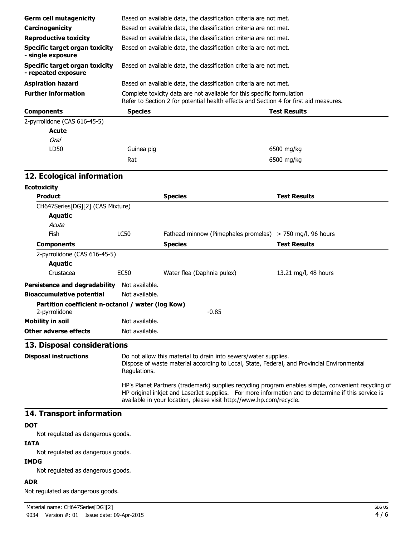| Based on available data, the classification criteria are not met.<br>Based on available data, the classification criteria are not met.<br>Based on available data, the classification criteria are not met.<br>Based on available data, the classification criteria are not met.<br>Based on available data, the classification criteria are not met. |                                                                                                                                                                                                                                                                                  |  |  |
|-------------------------------------------------------------------------------------------------------------------------------------------------------------------------------------------------------------------------------------------------------------------------------------------------------------------------------------------------------|----------------------------------------------------------------------------------------------------------------------------------------------------------------------------------------------------------------------------------------------------------------------------------|--|--|
|                                                                                                                                                                                                                                                                                                                                                       |                                                                                                                                                                                                                                                                                  |  |  |
|                                                                                                                                                                                                                                                                                                                                                       |                                                                                                                                                                                                                                                                                  |  |  |
|                                                                                                                                                                                                                                                                                                                                                       |                                                                                                                                                                                                                                                                                  |  |  |
|                                                                                                                                                                                                                                                                                                                                                       |                                                                                                                                                                                                                                                                                  |  |  |
|                                                                                                                                                                                                                                                                                                                                                       |                                                                                                                                                                                                                                                                                  |  |  |
|                                                                                                                                                                                                                                                                                                                                                       | Complete toxicity data are not available for this specific formulation<br>Refer to Section 2 for potential health effects and Section 4 for first aid measures.                                                                                                                  |  |  |
|                                                                                                                                                                                                                                                                                                                                                       | <b>Test Results</b>                                                                                                                                                                                                                                                              |  |  |
|                                                                                                                                                                                                                                                                                                                                                       |                                                                                                                                                                                                                                                                                  |  |  |
|                                                                                                                                                                                                                                                                                                                                                       |                                                                                                                                                                                                                                                                                  |  |  |
|                                                                                                                                                                                                                                                                                                                                                       |                                                                                                                                                                                                                                                                                  |  |  |
| Guinea pig                                                                                                                                                                                                                                                                                                                                            | 6500 mg/kg                                                                                                                                                                                                                                                                       |  |  |
|                                                                                                                                                                                                                                                                                                                                                       | 6500 mg/kg                                                                                                                                                                                                                                                                       |  |  |
|                                                                                                                                                                                                                                                                                                                                                       |                                                                                                                                                                                                                                                                                  |  |  |
|                                                                                                                                                                                                                                                                                                                                                       |                                                                                                                                                                                                                                                                                  |  |  |
| <b>Species</b>                                                                                                                                                                                                                                                                                                                                        | <b>Test Results</b>                                                                                                                                                                                                                                                              |  |  |
|                                                                                                                                                                                                                                                                                                                                                       |                                                                                                                                                                                                                                                                                  |  |  |
|                                                                                                                                                                                                                                                                                                                                                       |                                                                                                                                                                                                                                                                                  |  |  |
|                                                                                                                                                                                                                                                                                                                                                       |                                                                                                                                                                                                                                                                                  |  |  |
|                                                                                                                                                                                                                                                                                                                                                       | > 750 mg/l, 96 hours                                                                                                                                                                                                                                                             |  |  |
| <b>Species</b>                                                                                                                                                                                                                                                                                                                                        | <b>Test Results</b>                                                                                                                                                                                                                                                              |  |  |
|                                                                                                                                                                                                                                                                                                                                                       |                                                                                                                                                                                                                                                                                  |  |  |
|                                                                                                                                                                                                                                                                                                                                                       |                                                                                                                                                                                                                                                                                  |  |  |
| Water flea (Daphnia pulex)                                                                                                                                                                                                                                                                                                                            | 13.21 mg/l, 48 hours                                                                                                                                                                                                                                                             |  |  |
|                                                                                                                                                                                                                                                                                                                                                       |                                                                                                                                                                                                                                                                                  |  |  |
|                                                                                                                                                                                                                                                                                                                                                       |                                                                                                                                                                                                                                                                                  |  |  |
| $-0.85$                                                                                                                                                                                                                                                                                                                                               |                                                                                                                                                                                                                                                                                  |  |  |
|                                                                                                                                                                                                                                                                                                                                                       |                                                                                                                                                                                                                                                                                  |  |  |
|                                                                                                                                                                                                                                                                                                                                                       |                                                                                                                                                                                                                                                                                  |  |  |
|                                                                                                                                                                                                                                                                                                                                                       |                                                                                                                                                                                                                                                                                  |  |  |
| Do not allow this material to drain into sewers/water supplies.<br>Dispose of waste material according to Local, State, Federal, and Provincial Environmental<br>Regulations.                                                                                                                                                                         |                                                                                                                                                                                                                                                                                  |  |  |
|                                                                                                                                                                                                                                                                                                                                                       | HP's Planet Partners (trademark) supplies recycling program enables simple, convenient recycling of<br>HP original inkjet and LaserJet supplies. For more information and to determine if this service is<br>available in your location, please visit http://www.hp.com/recycle. |  |  |
|                                                                                                                                                                                                                                                                                                                                                       |                                                                                                                                                                                                                                                                                  |  |  |
|                                                                                                                                                                                                                                                                                                                                                       | Fathead minnow (Pimephales promelas)<br>Not available.<br>Not available.<br>Partition coefficient n-octanol / water (log Kow)<br>Not available.<br>Not available.                                                                                                                |  |  |

Not regulated as dangerous goods.

# **IATA**

Not regulated as dangerous goods.

### **IMDG**

Not regulated as dangerous goods.

#### **ADR**

Not regulated as dangerous goods.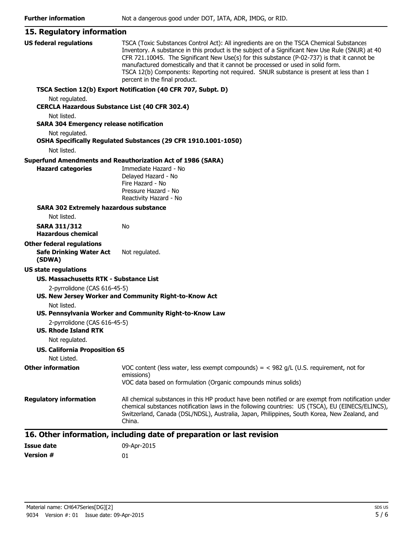| 15. Regulatory information                                  |                                                                                                                                                                                                                                                                                                                                                                                                                                                                                                              |
|-------------------------------------------------------------|--------------------------------------------------------------------------------------------------------------------------------------------------------------------------------------------------------------------------------------------------------------------------------------------------------------------------------------------------------------------------------------------------------------------------------------------------------------------------------------------------------------|
| <b>US federal regulations</b>                               | TSCA (Toxic Substances Control Act): All ingredients are on the TSCA Chemical Substances<br>Inventory. A substance in this product is the subject of a Significant New Use Rule (SNUR) at 40<br>CFR 721.10045. The Significant New Use(s) for this substance (P-02-737) is that it cannot be<br>manufactured domestically and that it cannot be processed or used in solid form.<br>TSCA 12(b) Components: Reporting not required. SNUR substance is present at less than 1<br>percent in the final product. |
|                                                             | TSCA Section 12(b) Export Notification (40 CFR 707, Subpt. D)                                                                                                                                                                                                                                                                                                                                                                                                                                                |
| Not regulated.                                              |                                                                                                                                                                                                                                                                                                                                                                                                                                                                                                              |
| <b>CERCLA Hazardous Substance List (40 CFR 302.4)</b>       |                                                                                                                                                                                                                                                                                                                                                                                                                                                                                                              |
| Not listed.                                                 |                                                                                                                                                                                                                                                                                                                                                                                                                                                                                                              |
| <b>SARA 304 Emergency release notification</b>              |                                                                                                                                                                                                                                                                                                                                                                                                                                                                                                              |
| Not regulated.                                              | OSHA Specifically Regulated Substances (29 CFR 1910.1001-1050)                                                                                                                                                                                                                                                                                                                                                                                                                                               |
| Not listed.                                                 |                                                                                                                                                                                                                                                                                                                                                                                                                                                                                                              |
|                                                             | <b>Superfund Amendments and Reauthorization Act of 1986 (SARA)</b>                                                                                                                                                                                                                                                                                                                                                                                                                                           |
| <b>Hazard categories</b>                                    | Immediate Hazard - No<br>Delayed Hazard - No<br>Fire Hazard - No<br>Pressure Hazard - No<br>Reactivity Hazard - No                                                                                                                                                                                                                                                                                                                                                                                           |
| <b>SARA 302 Extremely hazardous substance</b>               |                                                                                                                                                                                                                                                                                                                                                                                                                                                                                                              |
| Not listed.                                                 |                                                                                                                                                                                                                                                                                                                                                                                                                                                                                                              |
| <b>SARA 311/312</b><br><b>Hazardous chemical</b>            | No                                                                                                                                                                                                                                                                                                                                                                                                                                                                                                           |
| <b>Other federal regulations</b>                            |                                                                                                                                                                                                                                                                                                                                                                                                                                                                                                              |
| <b>Safe Drinking Water Act</b><br>(SDWA)                    | Not regulated.                                                                                                                                                                                                                                                                                                                                                                                                                                                                                               |
| <b>US state regulations</b>                                 |                                                                                                                                                                                                                                                                                                                                                                                                                                                                                                              |
| <b>US. Massachusetts RTK - Substance List</b>               |                                                                                                                                                                                                                                                                                                                                                                                                                                                                                                              |
| 2-pyrrolidone (CAS 616-45-5)                                |                                                                                                                                                                                                                                                                                                                                                                                                                                                                                                              |
|                                                             | US. New Jersey Worker and Community Right-to-Know Act                                                                                                                                                                                                                                                                                                                                                                                                                                                        |
| Not listed.                                                 |                                                                                                                                                                                                                                                                                                                                                                                                                                                                                                              |
|                                                             | US. Pennsylvania Worker and Community Right-to-Know Law                                                                                                                                                                                                                                                                                                                                                                                                                                                      |
| 2-pyrrolidone (CAS 616-45-5)<br><b>US. Rhode Island RTK</b> |                                                                                                                                                                                                                                                                                                                                                                                                                                                                                                              |
| Not regulated.                                              |                                                                                                                                                                                                                                                                                                                                                                                                                                                                                                              |
| <b>US. California Proposition 65</b>                        |                                                                                                                                                                                                                                                                                                                                                                                                                                                                                                              |
| Not Listed.                                                 |                                                                                                                                                                                                                                                                                                                                                                                                                                                                                                              |
| <b>Other information</b>                                    | VOC content (less water, less exempt compounds) = $<$ 982 g/L (U.S. requirement, not for<br>emissions)                                                                                                                                                                                                                                                                                                                                                                                                       |
|                                                             | VOC data based on formulation (Organic compounds minus solids)                                                                                                                                                                                                                                                                                                                                                                                                                                               |
| <b>Regulatory information</b>                               | All chemical substances in this HP product have been notified or are exempt from notification under<br>chemical substances notification laws in the following countries: US (TSCA), EU (EINECS/ELINCS),<br>Switzerland, Canada (DSL/NDSL), Australia, Japan, Philippines, South Korea, New Zealand, and<br>China.                                                                                                                                                                                            |

| Issue date | 09-Apr-2015 |
|------------|-------------|
| Version #  | 01          |